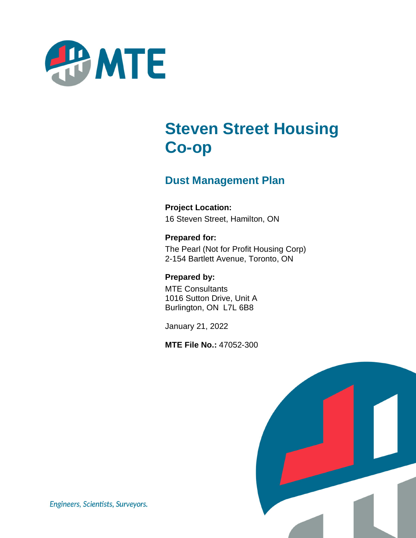

# **Steven Street Housing Co-op**

# **Dust Management Plan**

**Project Location:** 16 Steven Street, Hamilton, ON

**Prepared for:** The Pearl (Not for Profit Housing Corp) 2-154 Bartlett Avenue, Toronto, ON

**Prepared by:** MTE Consultants 1016 Sutton Drive, Unit A Burlington, ON L7L 6B8

January 21, 2022

**MTE File No.:** 47052-300



Engineers, Scientists, Surveyors.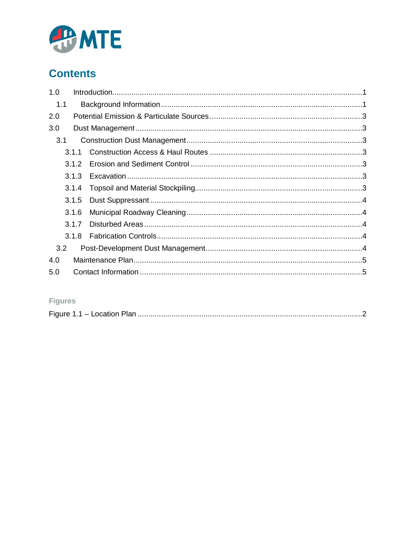

# **Contents**

| 1.0 |       |  |  |  |
|-----|-------|--|--|--|
| 1.1 |       |  |  |  |
| 2.0 |       |  |  |  |
| 3.0 |       |  |  |  |
| 3.1 |       |  |  |  |
|     |       |  |  |  |
|     |       |  |  |  |
|     | 3.1.3 |  |  |  |
|     | 3.1.4 |  |  |  |
|     |       |  |  |  |
|     | 3.1.6 |  |  |  |
|     | 3.1.7 |  |  |  |
|     |       |  |  |  |
| 3.2 |       |  |  |  |
| 4.0 |       |  |  |  |
| 5.0 |       |  |  |  |

### **Figures**

| . .<br>$\mathbf{v}$ |
|---------------------|
|---------------------|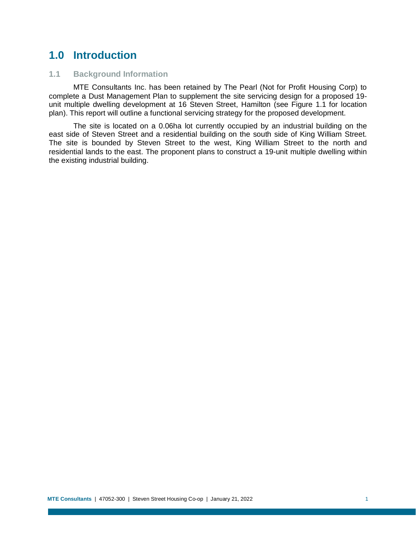# **1.0 Introduction**

#### **1.1 Background Information**

MTE Consultants Inc. has been retained by The Pearl (Not for Profit Housing Corp) to complete a Dust Management Plan to supplement the site servicing design for a proposed 19 unit multiple dwelling development at 16 Steven Street, Hamilton (see Figure 1.1 for location plan). This report will outline a functional servicing strategy for the proposed development.

The site is located on a 0.06ha lot currently occupied by an industrial building on the east side of Steven Street and a residential building on the south side of King William Street. The site is bounded by Steven Street to the west, King William Street to the north and residential lands to the east. The proponent plans to construct a 19-unit multiple dwelling within the existing industrial building.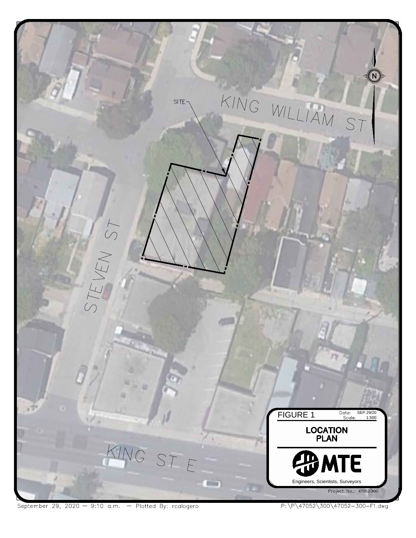

September 29, 2020 - 9:10 a.m. - Plotted By: rcalogero

P:\P\47052\300\47052-300-F1.dwg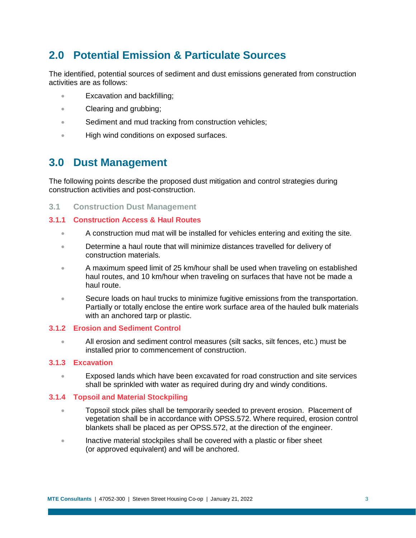# **2.0 Potential Emission & Particulate Sources**

The identified, potential sources of sediment and dust emissions generated from construction activities are as follows:

- Excavation and backfilling;
- Clearing and grubbing;
- Sediment and mud tracking from construction vehicles;
- **High wind conditions on exposed surfaces.**

## **3.0 Dust Management**

The following points describe the proposed dust mitigation and control strategies during construction activities and post-construction.

**3.1 Construction Dust Management**

#### **3.1.1 Construction Access & Haul Routes**

- A construction mud mat will be installed for vehicles entering and exiting the site.
- **Determine a haul route that will minimize distances travelled for delivery of** construction materials.
- A maximum speed limit of 25 km/hour shall be used when traveling on established haul routes, and 10 km/hour when traveling on surfaces that have not be made a haul route.
- Secure loads on haul trucks to minimize fugitive emissions from the transportation. Partially or totally enclose the entire work surface area of the hauled bulk materials with an anchored tarp or plastic.

#### **3.1.2 Erosion and Sediment Control**

 All erosion and sediment control measures (silt sacks, silt fences, etc.) must be installed prior to commencement of construction.

#### **3.1.3 Excavation**

 Exposed lands which have been excavated for road construction and site services shall be sprinkled with water as required during dry and windy conditions.

#### **3.1.4 Topsoil and Material Stockpiling**

- **Topsoil stock piles shall be temporarily seeded to prevent erosion. Placement of** vegetation shall be in accordance with OPSS.572. Where required, erosion control blankets shall be placed as per OPSS.572, at the direction of the engineer.
- Inactive material stockpiles shall be covered with a plastic or fiber sheet (or approved equivalent) and will be anchored.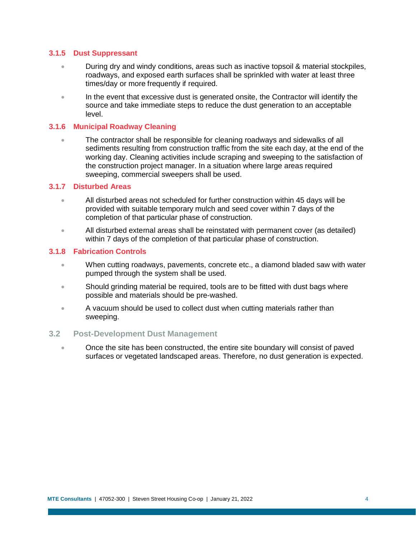#### **3.1.5 Dust Suppressant**

- During dry and windy conditions, areas such as inactive topsoil & material stockpiles, roadways, and exposed earth surfaces shall be sprinkled with water at least three times/day or more frequently if required.
- In the event that excessive dust is generated onsite, the Contractor will identify the source and take immediate steps to reduce the dust generation to an acceptable level.

#### **3.1.6 Municipal Roadway Cleaning**

• The contractor shall be responsible for cleaning roadways and sidewalks of all sediments resulting from construction traffic from the site each day, at the end of the working day. Cleaning activities include scraping and sweeping to the satisfaction of the construction project manager. In a situation where large areas required sweeping, commercial sweepers shall be used.

#### **3.1.7 Disturbed Areas**

- All disturbed areas not scheduled for further construction within 45 days will be provided with suitable temporary mulch and seed cover within 7 days of the completion of that particular phase of construction.
- All disturbed external areas shall be reinstated with permanent cover (as detailed) within 7 days of the completion of that particular phase of construction.

#### **3.1.8 Fabrication Controls**

- When cutting roadways, pavements, concrete etc., a diamond bladed saw with water pumped through the system shall be used.
- Should grinding material be required, tools are to be fitted with dust bags where possible and materials should be pre-washed.
- A vacuum should be used to collect dust when cutting materials rather than sweeping.

#### **3.2 Post-Development Dust Management**

 Once the site has been constructed, the entire site boundary will consist of paved surfaces or vegetated landscaped areas. Therefore, no dust generation is expected.